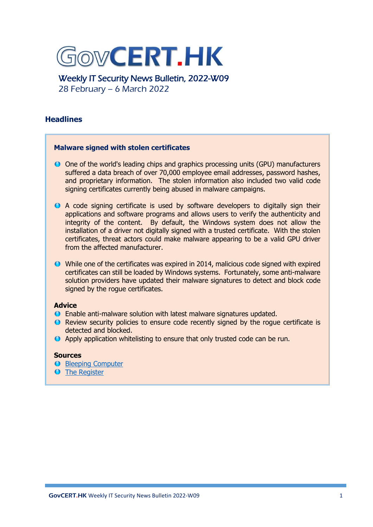

Weekly IT Security News Bulletin, 2022-W09 28 February – 6 March 2022

## **Headlines**

## **Malware signed with stolen certificates**

- O One of the world's leading chips and graphics processing units (GPU) manufacturers suffered a data breach of over 70,000 employee email addresses, password hashes, and proprietary information. The stolen information also included two valid code signing certificates currently being abused in malware campaigns.
- A code signing certificate is used by software developers to digitally sign their applications and software programs and allows users to verify the authenticity and integrity of the content. By default, the Windows system does not allow the installation of a driver not digitally signed with a trusted certificate. With the stolen certificates, threat actors could make malware appearing to be a valid GPU driver from the affected manufacturer.
- While one of the certificates was expired in 2014, malicious code signed with expired certificates can still be loaded by Windows systems. Fortunately, some anti-malware solution providers have updated their malware signatures to detect and block code signed by the rogue certificates.

## **Advice**

- Enable anti-malware solution with latest malware signatures updated.
- Review security policies to ensure code recently signed by the rogue certificate is detected and blocked.
- Apply application whitelisting to ensure that only trusted code can be run.

## **Sources**

- **[Bleeping Computer](https://www.bleepingcomputer.com/news/security/malware-now-using-nvidias-stolen-code-signing-certificates/)**
- **O** [The Register](https://www.theregister.com/2022/03/05/nvidia_stolen_certificate/)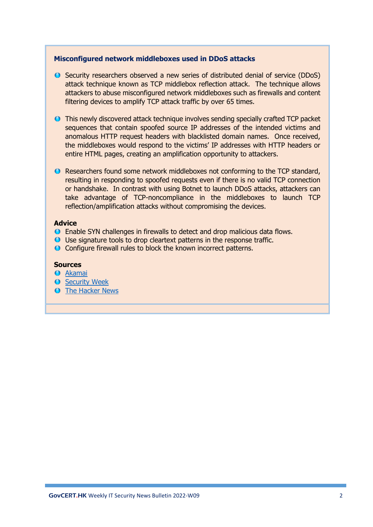## **Misconfigured network middleboxes used in DDoS attacks**

- Security researchers observed a new series of distributed denial of service (DDoS) attack technique known as TCP middlebox reflection attack. The technique allows attackers to abuse misconfigured network middleboxes such as firewalls and content filtering devices to amplify TCP attack traffic by over 65 times.
- This newly discovered attack technique involves sending specially crafted TCP packet sequences that contain spoofed source IP addresses of the intended victims and anomalous HTTP request headers with blacklisted domain names. Once received, the middleboxes would respond to the victims' IP addresses with HTTP headers or entire HTML pages, creating an amplification opportunity to attackers.
- Researchers found some network middleboxes not conforming to the TCP standard, resulting in responding to spoofed requests even if there is no valid TCP connection or handshake. In contrast with using Botnet to launch DDoS attacks, attackers can take advantage of TCP-noncompliance in the middleboxes to launch TCP reflection/amplification attacks without compromising the devices.

#### **Advice**

- Enable SYN challenges in firewalls to detect and drop malicious data flows.
- Use signature tools to drop cleartext patterns in the response traffic.
- **O** Configure firewall rules to block the known incorrect patterns.

## **Sources**

- **O** [Akamai](https://www.akamai.com/blog/security/tcp-middlebox-reflection)
- **O** [Security Week](https://www.securityweek.com/ddos-attacks-abuse-network-middleboxes-reflection-amplification)
- **O** [The Hacker News](https://thehackernews.com/2022/03/hackers-begin-weaponizing-tcp-middlebox.html)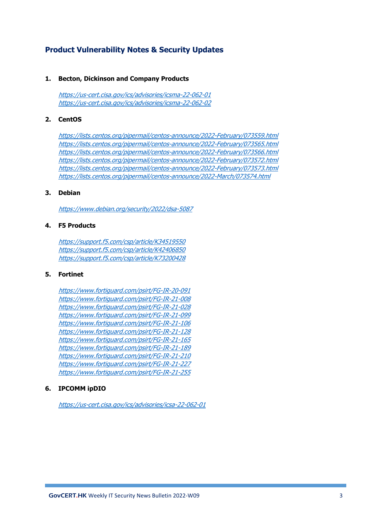# **Product Vulnerability Notes & Security Updates**

#### **1. Becton, Dickinson and Company Products**

<https://us-cert.cisa.gov/ics/advisories/icsma-22-062-01> <https://us-cert.cisa.gov/ics/advisories/icsma-22-062-02>

### **2. CentOS**

<https://lists.centos.org/pipermail/centos-announce/2022-February/073559.html> <https://lists.centos.org/pipermail/centos-announce/2022-February/073565.html> <https://lists.centos.org/pipermail/centos-announce/2022-February/073566.html> <https://lists.centos.org/pipermail/centos-announce/2022-February/073572.html> <https://lists.centos.org/pipermail/centos-announce/2022-February/073573.html> <https://lists.centos.org/pipermail/centos-announce/2022-March/073574.html>

#### **3. Debian**

<https://www.debian.org/security/2022/dsa-5087>

### **4. F5 Products**

<https://support.f5.com/csp/article/K34519550> <https://support.f5.com/csp/article/K42406850> <https://support.f5.com/csp/article/K73200428>

### **5. Fortinet**

<https://www.fortiguard.com/psirt/FG-IR-20-091> <https://www.fortiguard.com/psirt/FG-IR-21-008> <https://www.fortiguard.com/psirt/FG-IR-21-028> <https://www.fortiguard.com/psirt/FG-IR-21-099> <https://www.fortiguard.com/psirt/FG-IR-21-106> <https://www.fortiguard.com/psirt/FG-IR-21-128> <https://www.fortiguard.com/psirt/FG-IR-21-165> <https://www.fortiguard.com/psirt/FG-IR-21-189> <https://www.fortiguard.com/psirt/FG-IR-21-210> <https://www.fortiguard.com/psirt/FG-IR-21-227> <https://www.fortiguard.com/psirt/FG-IR-21-255>

## **6. IPCOMM ipDIO**

<https://us-cert.cisa.gov/ics/advisories/icsa-22-062-01>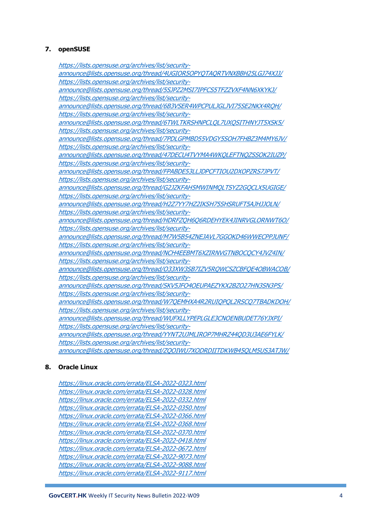## **7. openSUSE**

[https://lists.opensuse.org/archives/list/security](https://lists.opensuse.org/archives/list/security-announce@lists.opensuse.org/thread/4UGIOR5OPYQTAQRTVNXBBH25LGJ74XJJ/)[announce@lists.opensuse.org/thread/4UGIOR5OPYQTAQRTVNXBBH25LGJ74XJJ/](https://lists.opensuse.org/archives/list/security-announce@lists.opensuse.org/thread/4UGIOR5OPYQTAQRTVNXBBH25LGJ74XJJ/) [https://lists.opensuse.org/archives/list/security](https://lists.opensuse.org/archives/list/security-announce@lists.opensuse.org/thread/5SJPZ2MSI7IPFCS5TFZZVXF4NN6XKYKJ/)[announce@lists.opensuse.org/thread/5SJPZ2MSI7IPFCS5TFZZVXF4NN6XKYKJ/](https://lists.opensuse.org/archives/list/security-announce@lists.opensuse.org/thread/5SJPZ2MSI7IPFCS5TFZZVXF4NN6XKYKJ/) [https://lists.opensuse.org/archives/list/security](https://lists.opensuse.org/archives/list/security-announce@lists.opensuse.org/thread/6B3VSER4WPCPULJGLJVI75SE2NKX4RQH/)[announce@lists.opensuse.org/thread/6B3VSER4WPCPULJGLJVI75SE2NKX4RQH/](https://lists.opensuse.org/archives/list/security-announce@lists.opensuse.org/thread/6B3VSER4WPCPULJGLJVI75SE2NKX4RQH/) [https://lists.opensuse.org/archives/list/security](https://lists.opensuse.org/archives/list/security-announce@lists.opensuse.org/thread/6TWLTKRSHNPCLQL7UXQSITHNYJT5XSK5/)[announce@lists.opensuse.org/thread/6TWLTKRSHNPCLQL7UXQSITHNYJT5XSK5/](https://lists.opensuse.org/archives/list/security-announce@lists.opensuse.org/thread/6TWLTKRSHNPCLQL7UXQSITHNYJT5XSK5/) [https://lists.opensuse.org/archives/list/security](https://lists.opensuse.org/archives/list/security-announce@lists.opensuse.org/thread/7PDLGPMBD55VDGY5SOH7FHBZ3M4MY6JV/)[announce@lists.opensuse.org/thread/7PDLGPMBD55VDGY5SOH7FHBZ3M4MY6JV/](https://lists.opensuse.org/archives/list/security-announce@lists.opensuse.org/thread/7PDLGPMBD55VDGY5SOH7FHBZ3M4MY6JV/) [https://lists.opensuse.org/archives/list/security](https://lists.opensuse.org/archives/list/security-announce@lists.opensuse.org/thread/47DECU4TVYMA4WKQLEFTNQZSSOK2IUZP/)[announce@lists.opensuse.org/thread/47DECU4TVYMA4WKQLEFTNQZSSOK2IUZP/](https://lists.opensuse.org/archives/list/security-announce@lists.opensuse.org/thread/47DECU4TVYMA4WKQLEFTNQZSSOK2IUZP/) [https://lists.opensuse.org/archives/list/security](https://lists.opensuse.org/archives/list/security-announce@lists.opensuse.org/thread/FPABDE53LLJDPCFTIOU2DXOPZRS7JPVT/)[announce@lists.opensuse.org/thread/FPABDE53LLJDPCFTIOU2DXOPZRS7JPVT/](https://lists.opensuse.org/archives/list/security-announce@lists.opensuse.org/thread/FPABDE53LLJDPCFTIOU2DXOPZRS7JPVT/) [https://lists.opensuse.org/archives/list/security](https://lists.opensuse.org/archives/list/security-announce@lists.opensuse.org/thread/G2JZKFAH5MWINMQLTSYZ2GQCLX5UGIGE/)[announce@lists.opensuse.org/thread/G2JZKFAH5MWINMQLTSYZ2GQCLX5UGIGE/](https://lists.opensuse.org/archives/list/security-announce@lists.opensuse.org/thread/G2JZKFAH5MWINMQLTSYZ2GQCLX5UGIGE/) [https://lists.opensuse.org/archives/list/security](https://lists.opensuse.org/archives/list/security-announce@lists.opensuse.org/thread/H2Z7YY7HZ2IKSH75SHSRUFT5AJHJJOLN/)[announce@lists.opensuse.org/thread/H2Z7YY7HZ2IKSH75SHSRUFT5AJHJJOLN/](https://lists.opensuse.org/archives/list/security-announce@lists.opensuse.org/thread/H2Z7YY7HZ2IKSH75SHSRUFT5AJHJJOLN/) [https://lists.opensuse.org/archives/list/security](https://lists.opensuse.org/archives/list/security-announce@lists.opensuse.org/thread/HDRFZQH6Q6RDEHYEK4JINRVGLORNWT6O/)[announce@lists.opensuse.org/thread/HDRFZQH6Q6RDEHYEK4JINRVGLORNWT6O/](https://lists.opensuse.org/archives/list/security-announce@lists.opensuse.org/thread/HDRFZQH6Q6RDEHYEK4JINRVGLORNWT6O/) [https://lists.opensuse.org/archives/list/security](https://lists.opensuse.org/archives/list/security-announce@lists.opensuse.org/thread/M7W5B54ZNEJAVL7GGOKD46WWECPPJUNF/)[announce@lists.opensuse.org/thread/M7W5B54ZNEJAVL7GGOKD46WWECPPJUNF/](https://lists.opensuse.org/archives/list/security-announce@lists.opensuse.org/thread/M7W5B54ZNEJAVL7GGOKD46WWECPPJUNF/) [https://lists.opensuse.org/archives/list/security](https://lists.opensuse.org/archives/list/security-announce@lists.opensuse.org/thread/NCH4EEBMT6XZIRNVGTNBOCQCY4JVZ4IN/)[announce@lists.opensuse.org/thread/NCH4EEBMT6XZIRNVGTNBOCQCY4JVZ4IN/](https://lists.opensuse.org/archives/list/security-announce@lists.opensuse.org/thread/NCH4EEBMT6XZIRNVGTNBOCQCY4JVZ4IN/) [https://lists.opensuse.org/archives/list/security](https://lists.opensuse.org/archives/list/security-announce@lists.opensuse.org/thread/O33XW3SB7IZV5RQWCSZCBFQE4OBWACOB/)[announce@lists.opensuse.org/thread/O33XW3SB7IZV5RQWCSZCBFQE4OBWACOB/](https://lists.opensuse.org/archives/list/security-announce@lists.opensuse.org/thread/O33XW3SB7IZV5RQWCSZCBFQE4OBWACOB/) [https://lists.opensuse.org/archives/list/security](https://lists.opensuse.org/archives/list/security-announce@lists.opensuse.org/thread/SKV5JFO4OEUPAEZYKX2BZO27HN3SN3P5/)[announce@lists.opensuse.org/thread/SKV5JFO4OEUPAEZYKX2BZO27HN3SN3P5/](https://lists.opensuse.org/archives/list/security-announce@lists.opensuse.org/thread/SKV5JFO4OEUPAEZYKX2BZO27HN3SN3P5/) [https://lists.opensuse.org/archives/list/security](https://lists.opensuse.org/archives/list/security-announce@lists.opensuse.org/thread/W7QEMHXA4R2RUIQPQL2RSCQ7TBADKDOH/)[announce@lists.opensuse.org/thread/W7QEMHXA4R2RUIQPQL2RSCQ7TBADKDOH/](https://lists.opensuse.org/archives/list/security-announce@lists.opensuse.org/thread/W7QEMHXA4R2RUIQPQL2RSCQ7TBADKDOH/) [https://lists.opensuse.org/archives/list/security](https://lists.opensuse.org/archives/list/security-announce@lists.opensuse.org/thread/WUFXLLYPEPLGLE3CNOENBUDET76YJXPI/)[announce@lists.opensuse.org/thread/WUFXLLYPEPLGLE3CNOENBUDET76YJXPI/](https://lists.opensuse.org/archives/list/security-announce@lists.opensuse.org/thread/WUFXLLYPEPLGLE3CNOENBUDET76YJXPI/) [https://lists.opensuse.org/archives/list/security](https://lists.opensuse.org/archives/list/security-announce@lists.opensuse.org/thread/YYNT2UJMLIROP7MHRZ44QD3U3AE6FYLK/)[announce@lists.opensuse.org/thread/YYNT2UJMLIROP7MHRZ44QD3U3AE6FYLK/](https://lists.opensuse.org/archives/list/security-announce@lists.opensuse.org/thread/YYNT2UJMLIROP7MHRZ44QD3U3AE6FYLK/) [https://lists.opensuse.org/archives/list/security](https://lists.opensuse.org/archives/list/security-announce@lists.opensuse.org/thread/ZQOIWU7XODRDIITDKWB45QLM5US3ATJW/)[announce@lists.opensuse.org/thread/ZQOIWU7XODRDIITDKWB45QLM5US3ATJW/](https://lists.opensuse.org/archives/list/security-announce@lists.opensuse.org/thread/ZQOIWU7XODRDIITDKWB45QLM5US3ATJW/)

#### **8. Oracle Linux**

<https://linux.oracle.com/errata/ELSA-2022-0323.html> <https://linux.oracle.com/errata/ELSA-2022-0328.html> <https://linux.oracle.com/errata/ELSA-2022-0332.html> <https://linux.oracle.com/errata/ELSA-2022-0350.html> <https://linux.oracle.com/errata/ELSA-2022-0366.html> <https://linux.oracle.com/errata/ELSA-2022-0368.html> <https://linux.oracle.com/errata/ELSA-2022-0370.html> <https://linux.oracle.com/errata/ELSA-2022-0418.html> <https://linux.oracle.com/errata/ELSA-2022-0672.html> <https://linux.oracle.com/errata/ELSA-2022-9073.html> <https://linux.oracle.com/errata/ELSA-2022-9088.html> <https://linux.oracle.com/errata/ELSA-2022-9117.html>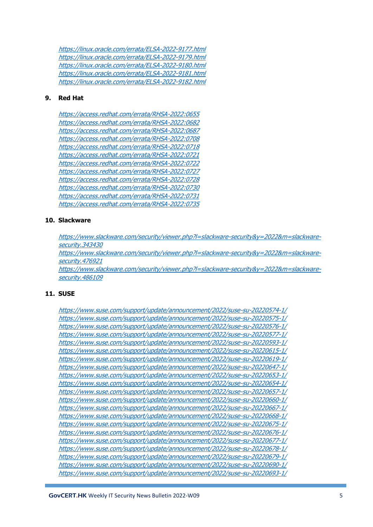<https://linux.oracle.com/errata/ELSA-2022-9177.html> <https://linux.oracle.com/errata/ELSA-2022-9179.html> <https://linux.oracle.com/errata/ELSA-2022-9180.html> <https://linux.oracle.com/errata/ELSA-2022-9181.html> <https://linux.oracle.com/errata/ELSA-2022-9182.html>

#### **9. Red Hat**

<https://access.redhat.com/errata/RHSA-2022:0655> <https://access.redhat.com/errata/RHSA-2022:0682> <https://access.redhat.com/errata/RHSA-2022:0687> <https://access.redhat.com/errata/RHSA-2022:0708> <https://access.redhat.com/errata/RHSA-2022:0718> <https://access.redhat.com/errata/RHSA-2022:0721> <https://access.redhat.com/errata/RHSA-2022:0722> <https://access.redhat.com/errata/RHSA-2022:0727> <https://access.redhat.com/errata/RHSA-2022:0728> <https://access.redhat.com/errata/RHSA-2022:0730> <https://access.redhat.com/errata/RHSA-2022:0731> <https://access.redhat.com/errata/RHSA-2022:0735>

#### **10. Slackware**

[https://www.slackware.com/security/viewer.php?l=slackware-security&y=2022&m=slackware](https://www.slackware.com/security/viewer.php?l=slackware-security&y=2022&m=slackware-security.343430)[security.343430](https://www.slackware.com/security/viewer.php?l=slackware-security&y=2022&m=slackware-security.343430)

[https://www.slackware.com/security/viewer.php?l=slackware-security&y=2022&m=slackware](https://www.slackware.com/security/viewer.php?l=slackware-security&y=2022&m=slackware-security.476921)[security.476921](https://www.slackware.com/security/viewer.php?l=slackware-security&y=2022&m=slackware-security.476921)

[https://www.slackware.com/security/viewer.php?l=slackware-security&y=2022&m=slackware](https://www.slackware.com/security/viewer.php?l=slackware-security&y=2022&m=slackware-security.486109)[security.486109](https://www.slackware.com/security/viewer.php?l=slackware-security&y=2022&m=slackware-security.486109)

#### **11. SUSE**

<https://www.suse.com/support/update/announcement/2022/suse-su-20220574-1/> <https://www.suse.com/support/update/announcement/2022/suse-su-20220575-1/> <https://www.suse.com/support/update/announcement/2022/suse-su-20220576-1/> <https://www.suse.com/support/update/announcement/2022/suse-su-20220577-1/> <https://www.suse.com/support/update/announcement/2022/suse-su-20220593-1/> <https://www.suse.com/support/update/announcement/2022/suse-su-20220615-1/> <https://www.suse.com/support/update/announcement/2022/suse-su-20220619-1/> <https://www.suse.com/support/update/announcement/2022/suse-su-20220647-1/> <https://www.suse.com/support/update/announcement/2022/suse-su-20220653-1/> <https://www.suse.com/support/update/announcement/2022/suse-su-20220654-1/> <https://www.suse.com/support/update/announcement/2022/suse-su-20220657-1/> <https://www.suse.com/support/update/announcement/2022/suse-su-20220660-1/> <https://www.suse.com/support/update/announcement/2022/suse-su-20220667-1/> <https://www.suse.com/support/update/announcement/2022/suse-su-20220668-1/> <https://www.suse.com/support/update/announcement/2022/suse-su-20220675-1/> <https://www.suse.com/support/update/announcement/2022/suse-su-20220676-1/> <https://www.suse.com/support/update/announcement/2022/suse-su-20220677-1/> <https://www.suse.com/support/update/announcement/2022/suse-su-20220678-1/> <https://www.suse.com/support/update/announcement/2022/suse-su-20220679-1/> <https://www.suse.com/support/update/announcement/2022/suse-su-20220690-1/> <https://www.suse.com/support/update/announcement/2022/suse-su-20220693-1/>